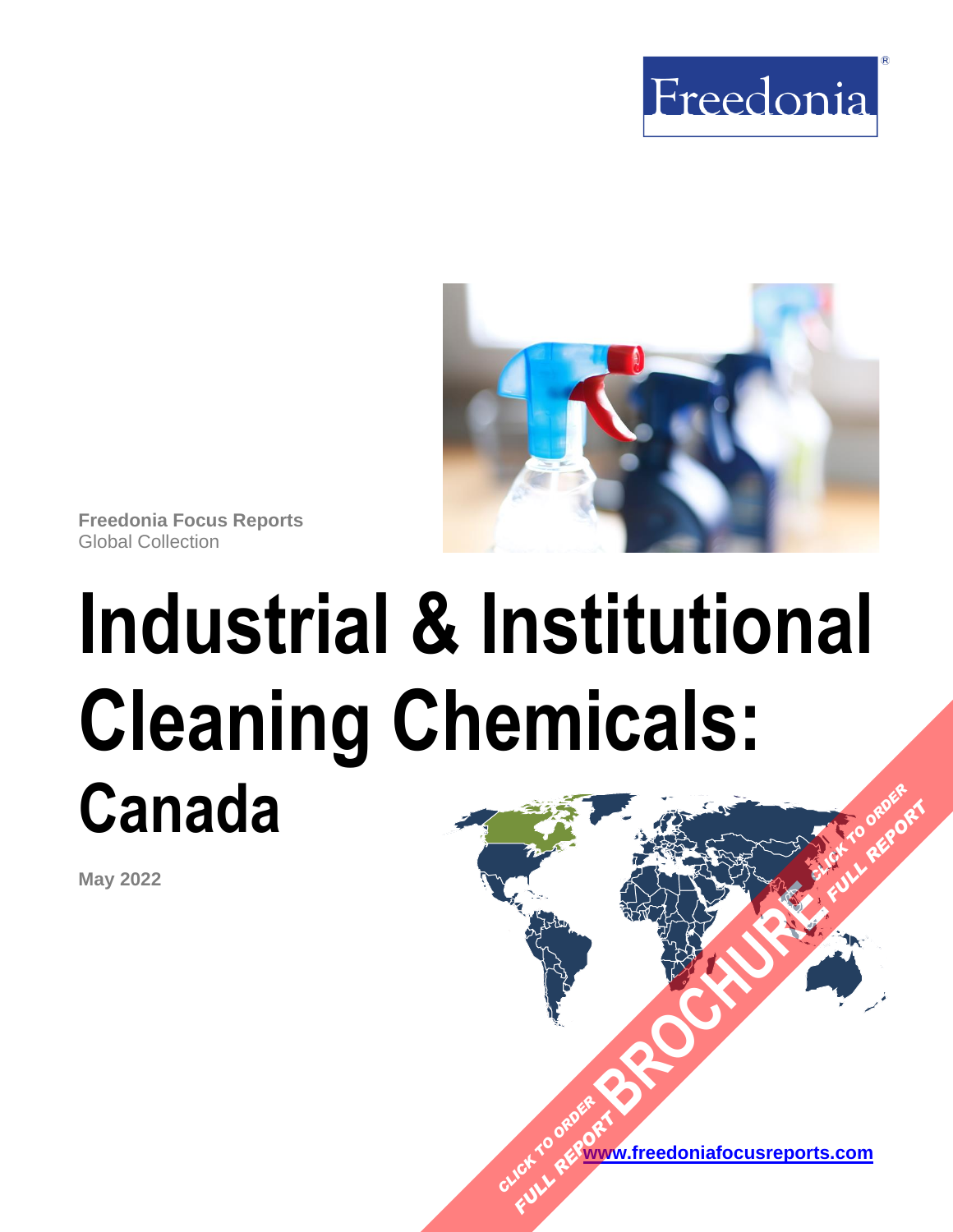



**Freedonia Focus Reports** Global Collection

# **Industrial & Institutional Cleaning Chemicals: Canada [BROCHURE](https://www.freedoniafocusreports.com/Industrial-Institutional-Cleaning-Chemicals-Canada-FA35052/?progid=89541) AND READY FULL REPORT**

**May 2022**

**[www.freedoniafocusreports.com](https://www.freedoniafocusreports.com/redirect.asp?progid=89534&url=/)** CLICK TO ORDER **FULL REPORT**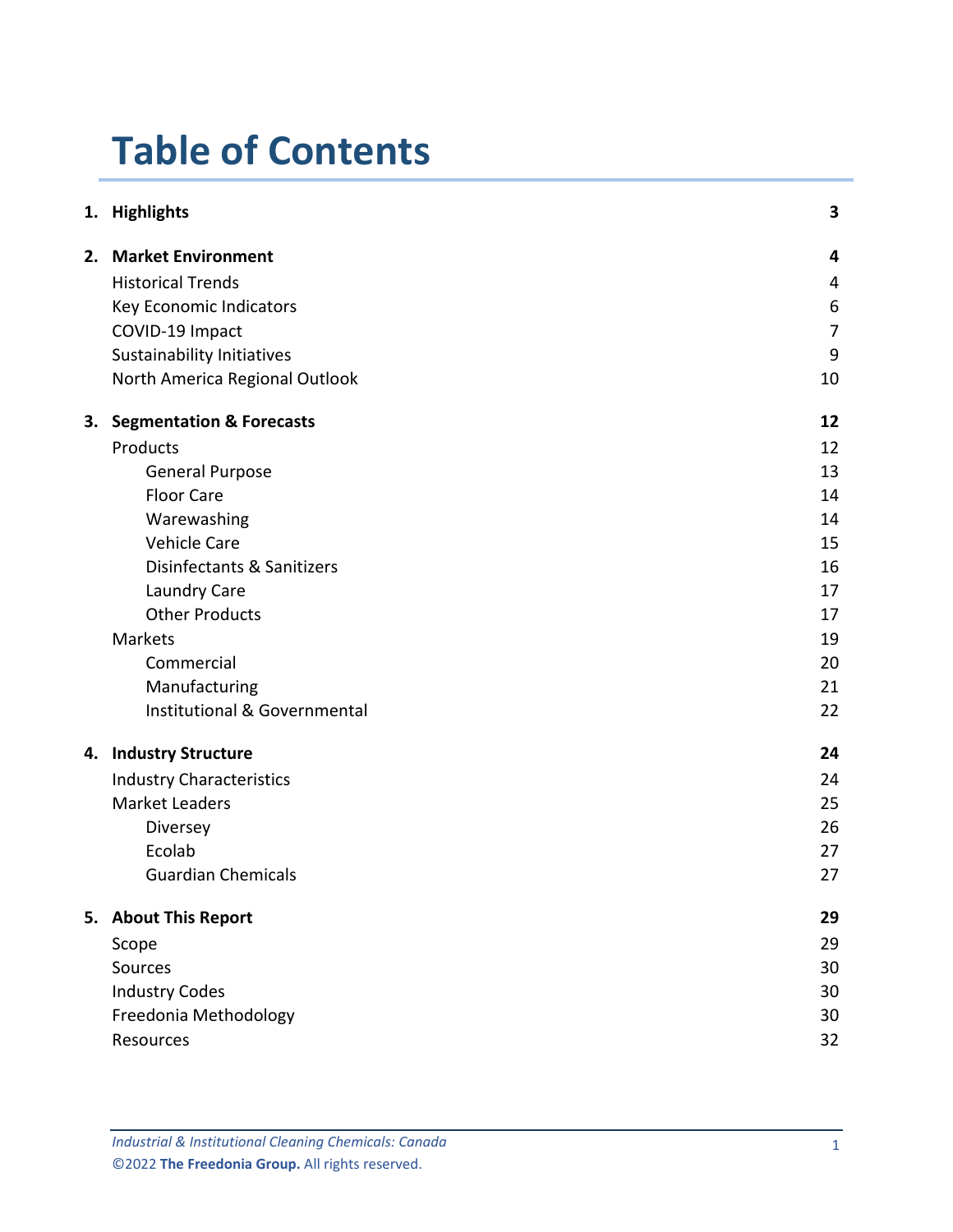# **Table of Contents**

|    | 1. Highlights                       | 3              |
|----|-------------------------------------|----------------|
|    | 2. Market Environment               | 4              |
|    | <b>Historical Trends</b>            | 4              |
|    | Key Economic Indicators             | 6              |
|    | COVID-19 Impact                     | $\overline{7}$ |
|    | <b>Sustainability Initiatives</b>   | 9              |
|    | North America Regional Outlook      | 10             |
| 3. | <b>Segmentation &amp; Forecasts</b> | 12             |
|    | Products                            | 12             |
|    | <b>General Purpose</b>              | 13             |
|    | <b>Floor Care</b>                   | 14             |
|    | Warewashing                         | 14             |
|    | <b>Vehicle Care</b>                 | 15             |
|    | Disinfectants & Sanitizers          | 16             |
|    | Laundry Care                        | 17             |
|    | <b>Other Products</b>               | 17             |
|    | <b>Markets</b>                      | 19             |
|    | Commercial                          | 20             |
|    | Manufacturing                       | 21             |
|    | Institutional & Governmental        | 22             |
|    | 4. Industry Structure               | 24             |
|    | <b>Industry Characteristics</b>     | 24             |
|    | <b>Market Leaders</b>               | 25             |
|    | Diversey                            | 26             |
|    | Ecolab                              | 27             |
|    | <b>Guardian Chemicals</b>           | 27             |
|    | 5. About This Report                | 29             |
|    | Scope                               | 29             |
|    | Sources                             | 30             |
|    | <b>Industry Codes</b>               | 30             |
|    | Freedonia Methodology               | 30             |
|    | Resources                           | 32             |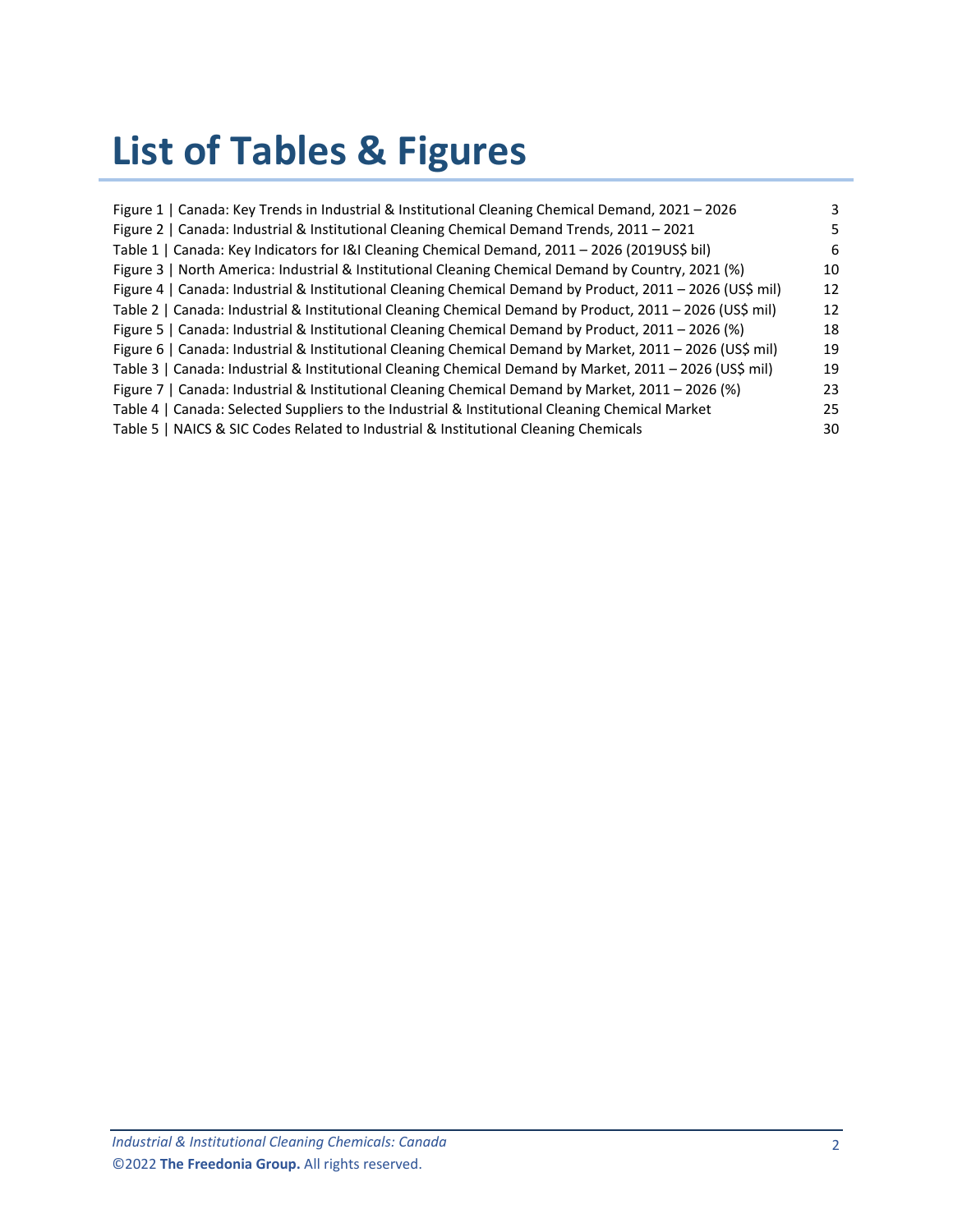# **List of Tables & Figures**

| Figure 1   Canada: Key Trends in Industrial & Institutional Cleaning Chemical Demand, 2021 - 2026         | 3  |
|-----------------------------------------------------------------------------------------------------------|----|
| Figure 2   Canada: Industrial & Institutional Cleaning Chemical Demand Trends, 2011 - 2021                |    |
| Table 1   Canada: Key Indicators for I&I Cleaning Chemical Demand, 2011 - 2026 (2019US\$ bil)             | 6  |
| Figure 3   North America: Industrial & Institutional Cleaning Chemical Demand by Country, 2021 (%)        | 10 |
| Figure 4   Canada: Industrial & Institutional Cleaning Chemical Demand by Product, 2011 - 2026 (US\$ mil) | 12 |
| Table 2   Canada: Industrial & Institutional Cleaning Chemical Demand by Product, 2011 - 2026 (US\$ mil)  | 12 |
| Figure 5   Canada: Industrial & Institutional Cleaning Chemical Demand by Product, 2011 - 2026 (%)        | 18 |
| Figure 6   Canada: Industrial & Institutional Cleaning Chemical Demand by Market, 2011 - 2026 (US\$ mil)  | 19 |
| Table 3   Canada: Industrial & Institutional Cleaning Chemical Demand by Market, 2011 - 2026 (US\$ mil)   | 19 |
| Figure 7   Canada: Industrial & Institutional Cleaning Chemical Demand by Market, 2011 - 2026 (%)         | 23 |
| Table 4   Canada: Selected Suppliers to the Industrial & Institutional Cleaning Chemical Market           | 25 |
| Table 5   NAICS & SIC Codes Related to Industrial & Institutional Cleaning Chemicals                      | 30 |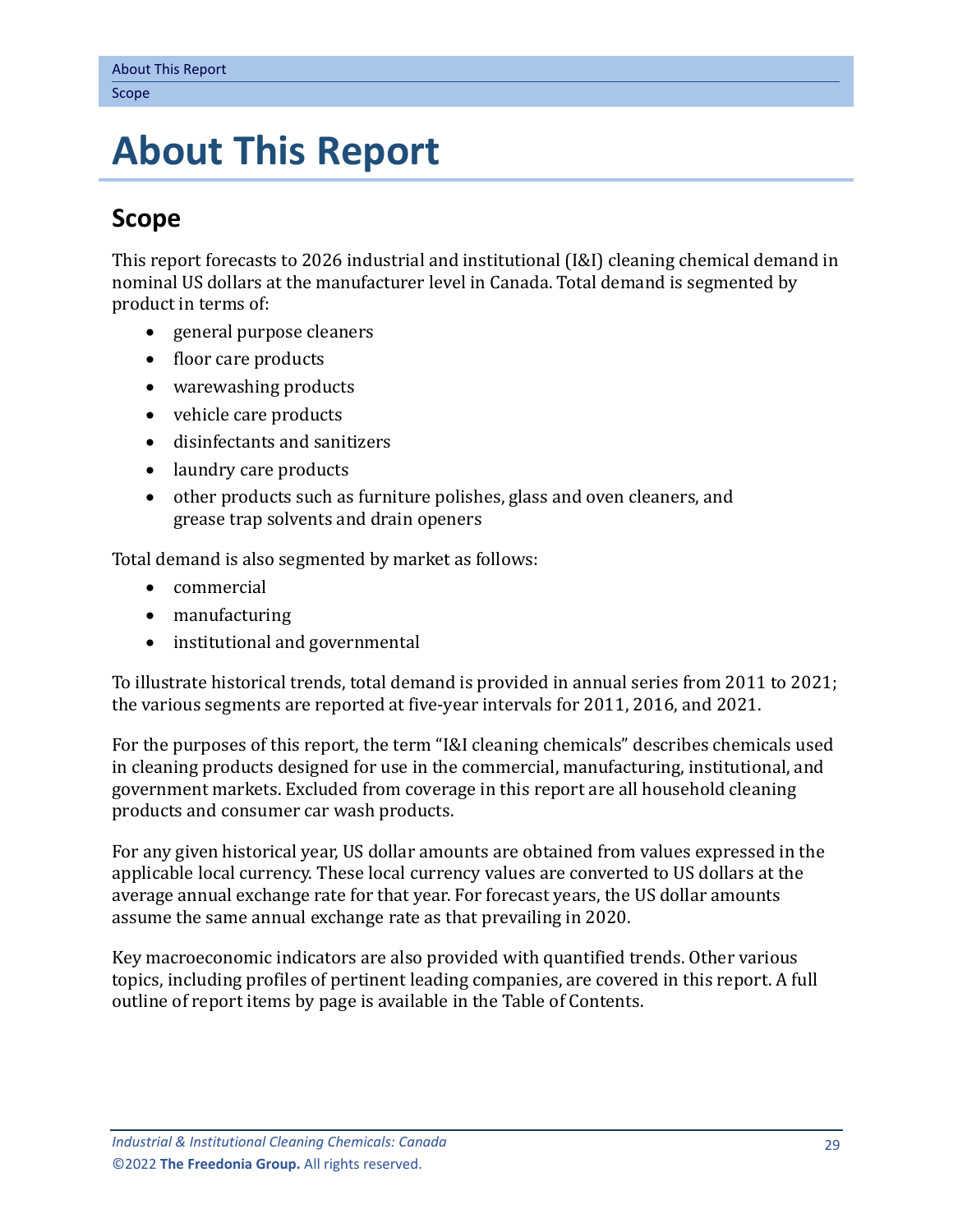# <span id="page-3-0"></span>**5. About This Report**

## <span id="page-3-1"></span>**Scope**

This report forecasts to 2026 industrial and institutional (I&I) cleaning chemical demand in nominal US dollars at the manufacturer level in Canada. Total demand is segmented by product in terms of:

- general purpose cleaners
- floor care products
- warewashing products
- vehicle care products
- disinfectants and sanitizers
- laundry care products
- other products such as furniture polishes, glass and oven cleaners, and grease trap solvents and drain openers

Total demand is also segmented by market as follows:

- commercial
- manufacturing
- institutional and governmental

To illustrate historical trends, total demand is provided in annual series from 2011 to 2021; the various segments are reported at five-year intervals for 2011, 2016, and 2021.

For the purposes of this report, the term "I&I cleaning chemicals" describes chemicals used in cleaning products designed for use in the commercial, manufacturing, institutional, and government markets. Excluded from coverage in this report are all household cleaning products and consumer car wash products.

For any given historical year, US dollar amounts are obtained from values expressed in the applicable local currency. These local currency values are converted to US dollars at the average annual exchange rate for that year. For forecast years, the US dollar amounts assume the same annual exchange rate as that prevailing in 2020.

Key macroeconomic indicators are also provided with quantified trends. Other various topics, including profiles of pertinent leading companies, are covered in this report. A full outline of report items by page is available in the Table of Contents.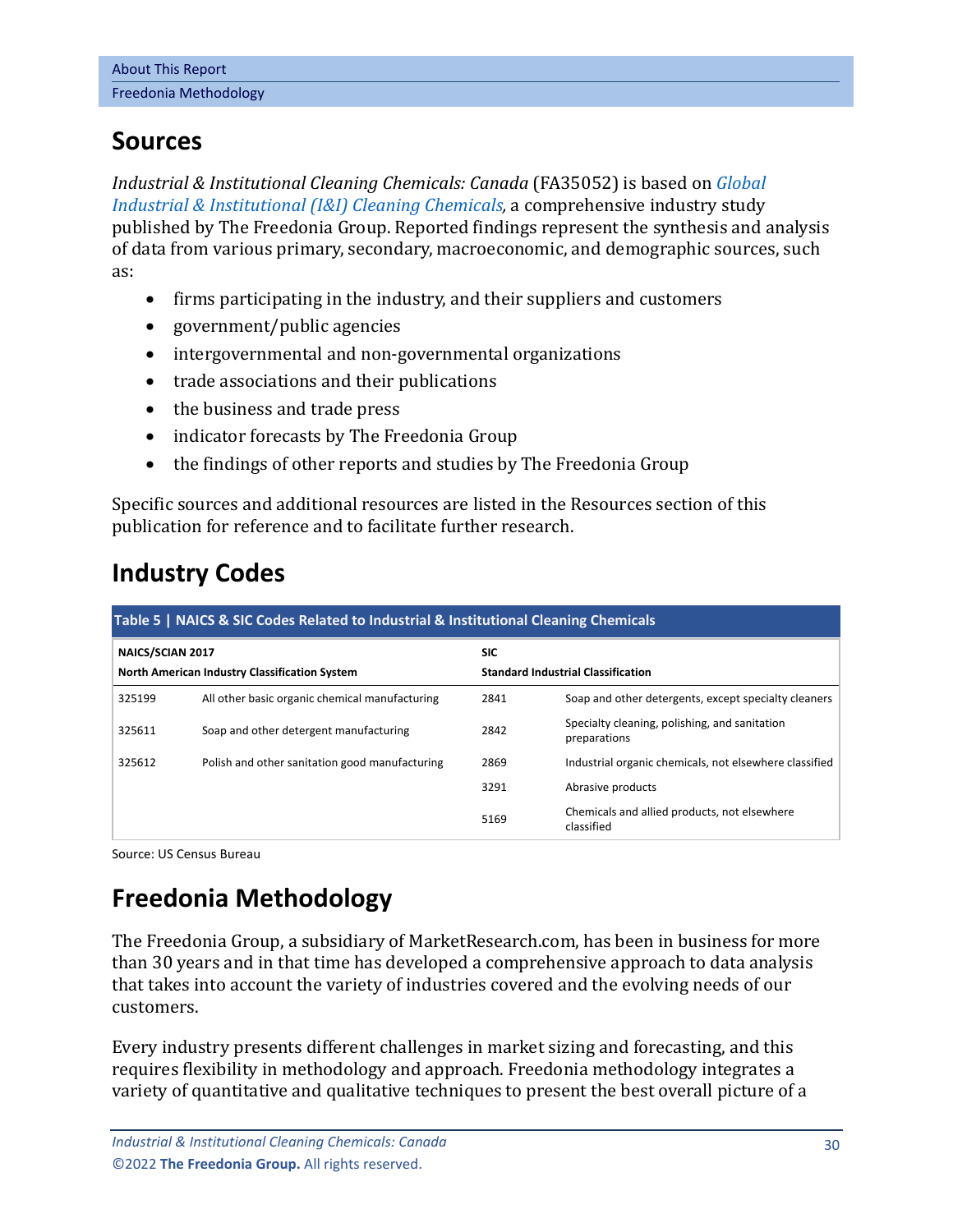## <span id="page-4-0"></span>**Sources**

*Industrial & Institutional Cleaning Chemicals: Canada* (FA35052) is based on *[Global](http://www.freedoniagroup.com/DocumentDetails.aspx?ReferrerId=FL-FOCUS&studyid=4396)  [Industrial & Institutional \(I&I\) Cleaning Chemicals,](http://www.freedoniagroup.com/DocumentDetails.aspx?ReferrerId=FL-FOCUS&studyid=4396)* a comprehensive industry study published by The Freedonia Group. Reported findings represent the synthesis and analysis of data from various primary, secondary, macroeconomic, and demographic sources, such as:

- firms participating in the industry, and their suppliers and customers
- government/public agencies
- intergovernmental and non-governmental organizations
- trade associations and their publications
- the business and trade press
- indicator forecasts by The Freedonia Group
- the findings of other reports and studies by The Freedonia Group

Specific sources and additional resources are listed in the Resources section of this publication for reference and to facilitate further research.

# <span id="page-4-1"></span>**Industry Codes**

<span id="page-4-3"></span>

| Table 5   NAICS & SIC Codes Related to Industrial & Institutional Cleaning Chemicals |                                                |                                           |                                                               |  |  |  |
|--------------------------------------------------------------------------------------|------------------------------------------------|-------------------------------------------|---------------------------------------------------------------|--|--|--|
| <b>NAICS/SCIAN 2017</b>                                                              |                                                | <b>SIC</b>                                |                                                               |  |  |  |
| North American Industry Classification System                                        |                                                | <b>Standard Industrial Classification</b> |                                                               |  |  |  |
| 325199                                                                               | All other basic organic chemical manufacturing | 2841                                      | Soap and other detergents, except specialty cleaners          |  |  |  |
| 325611                                                                               | Soap and other detergent manufacturing         | 2842                                      | Specialty cleaning, polishing, and sanitation<br>preparations |  |  |  |
| 325612                                                                               | Polish and other sanitation good manufacturing | 2869                                      | Industrial organic chemicals, not elsewhere classified        |  |  |  |
|                                                                                      |                                                | 3291                                      | Abrasive products                                             |  |  |  |
|                                                                                      |                                                | 5169                                      | Chemicals and allied products, not elsewhere<br>classified    |  |  |  |

Source: US Census Bureau

# <span id="page-4-2"></span>**Freedonia Methodology**

The Freedonia Group, a subsidiary of MarketResearch.com, has been in business for more than 30 years and in that time has developed a comprehensive approach to data analysis that takes into account the variety of industries covered and the evolving needs of our customers.

Every industry presents different challenges in market sizing and forecasting, and this requires flexibility in methodology and approach. Freedonia methodology integrates a variety of quantitative and qualitative techniques to present the best overall picture of a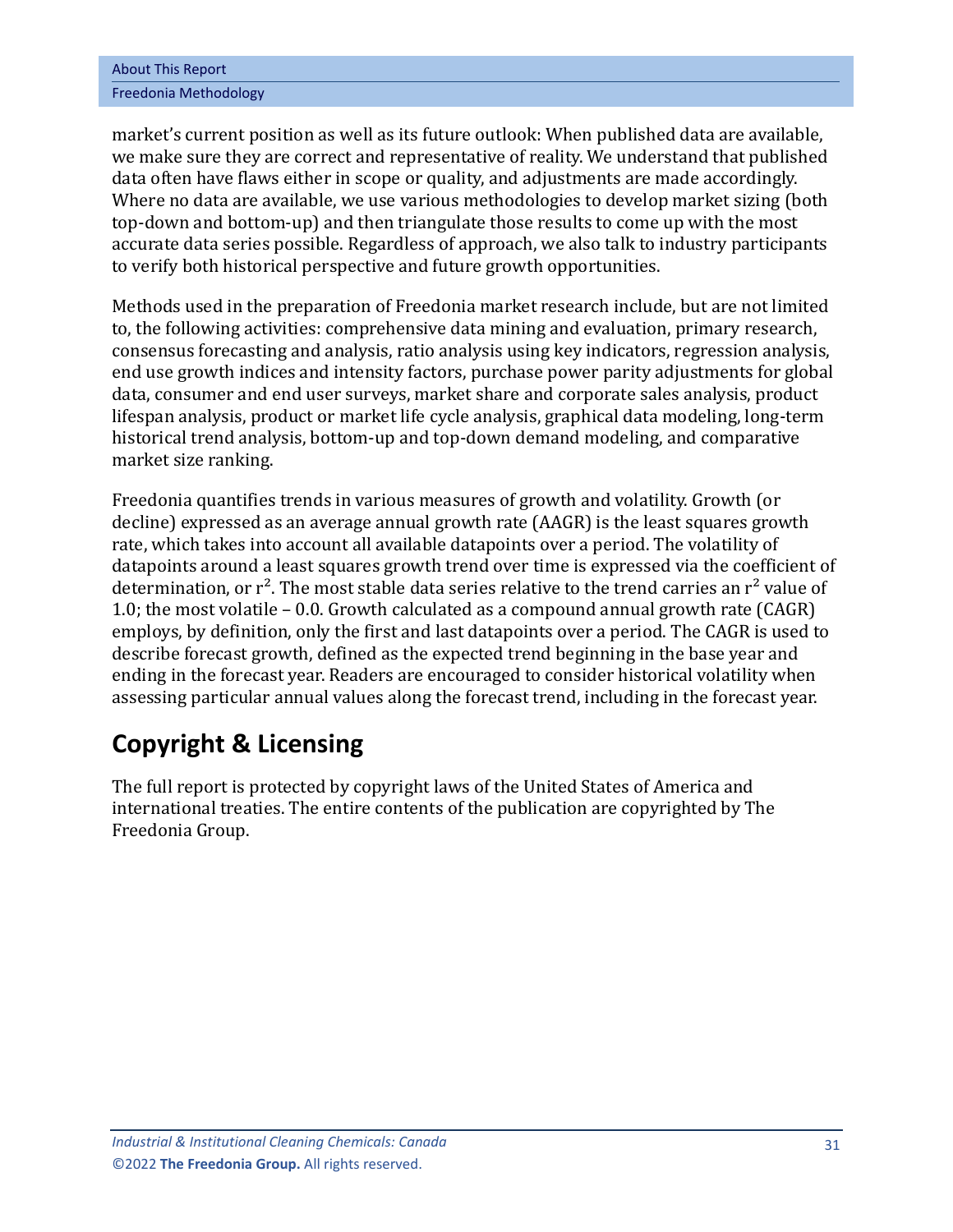| <b>About This Report</b> |
|--------------------------|
| Freedonia Methodology    |

market's current position as well as its future outlook: When published data are available, we make sure they are correct and representative of reality. We understand that published data often have flaws either in scope or quality, and adjustments are made accordingly. Where no data are available, we use various methodologies to develop market sizing (both top-down and bottom-up) and then triangulate those results to come up with the most accurate data series possible. Regardless of approach, we also talk to industry participants to verify both historical perspective and future growth opportunities.

Methods used in the preparation of Freedonia market research include, but are not limited to, the following activities: comprehensive data mining and evaluation, primary research, consensus forecasting and analysis, ratio analysis using key indicators, regression analysis, end use growth indices and intensity factors, purchase power parity adjustments for global data, consumer and end user surveys, market share and corporate sales analysis, product lifespan analysis, product or market life cycle analysis, graphical data modeling, long-term historical trend analysis, bottom-up and top-down demand modeling, and comparative market size ranking.

Freedonia quantifies trends in various measures of growth and volatility. Growth (or decline) expressed as an average annual growth rate (AAGR) is the least squares growth rate, which takes into account all available datapoints over a period. The volatility of datapoints around a least squares growth trend over time is expressed via the coefficient of determination, or  $r^2$ . The most stable data series relative to the trend carries an  $r^2$  value of 1.0; the most volatile – 0.0. Growth calculated as a compound annual growth rate (CAGR) employs, by definition, only the first and last datapoints over a period. The CAGR is used to describe forecast growth, defined as the expected trend beginning in the base year and ending in the forecast year. Readers are encouraged to consider historical volatility when assessing particular annual values along the forecast trend, including in the forecast year.

# **Copyright & Licensing**

The full report is protected by copyright laws of the United States of America and international treaties. The entire contents of the publication are copyrighted by The Freedonia Group.